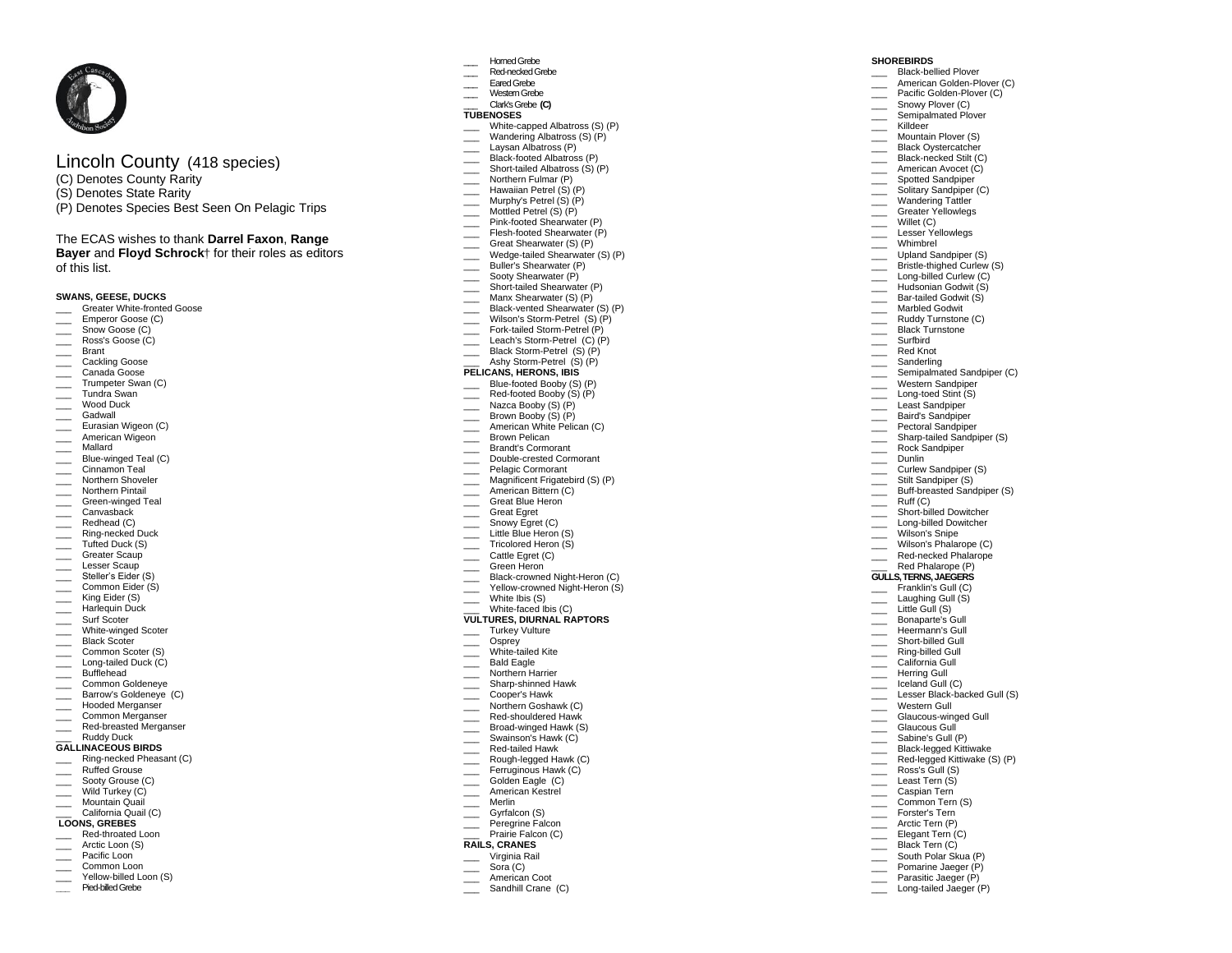# Lincoln County ( 4 1 8 species)

- (C) Denotes County Rarity
- (S) Denotes State Rarity
- (P) Denotes Species Best Seen On Pelagic Trips

# The ECAS wishes to thank **Darrel Faxon**, **Range**

**Bayer and Floyd Schrock**<sup>†</sup> for their roles as editors of this list.

# **SWANS, GEESE, DUCKS**

- \_\_\_ Greater White -fronted Goose
- Emperor Goose (C)
- Snow Goose (C) Ross's Goose (C)
- 
- \_\_\_ Brant
- Cackling Goose
- \_\_\_ Canada Goose
- \_\_\_ Trumpeter Sw an (C)
- \_\_\_ Tundra Swan
- \_\_\_ Wood Duck
- \_\_\_ Gadwall Eurasian Wigeon (C)
- American Wigeon
- \_\_\_ Mallard
- 
- \_\_\_ Blue -winged Teal (C) \_\_\_\_ Cinnamon Teal
- \_\_\_ Northern Shoveler
- \_\_\_ Northern Pintail
- \_\_\_ Green -winged Teal
- \_\_\_ Canvasback
- \_\_\_ Redhead (C)
- \_\_\_ Ring -necked Duck
- \_\_\_\_ Ring-necked Du<br>\_\_\_\_ Tufted Duck (S)
- Greater Scaup
- Lesser Scaup
- \_\_\_\_ Steller's Eider (S)
- Common Eider (S)
- King Eider (S)
- Harlequin Duck
- \_\_\_ Surf Scoter
- \_\_\_ Whit e -winged Scoter
- \_\_\_\_ Black Scoter
- \_\_\_ Common Scoter (S)
- \_\_\_ Long -tailed Duck (C)
- \_\_\_ Bufflehead
- \_\_\_ Common Goldeneye
- \_\_\_ Barrow's Goldeneye (C)
- Hooded Merganser
- \_\_\_ Common Merganser
- \_\_\_ Red -breasted Merganser
- \_\_\_ Ru ddy Duck **GALLINACEOUS BIRDS**
- 
- \_\_\_ Rin g -necked Pheasant (C) \_\_\_ Ruffed Grouse
- Sooty Grouse (C)
- $\overline{\phantom{a}}$ Wild Turkey (C)
- \_\_\_ Mountain Quail
- California Quail (C)

# **LOONS, GREBES**

- \_\_\_ Red -throated Loon
- Arctic Loon (S)
- \_\_\_\_ Pacific Loon
- Common Loon
- \_\_\_ Yellow billed Loon (S) **\_\_\_** Pied -billed Grebe
- \_\_\_ Horned Grebe
	- \_\_\_ Red -necked Grebe
	- Eared Grebe
	- \_\_\_ Western Grebe \_\_\_ Clark's Grebe **(C)**

# **TUBENOSES**

\_\_\_ White -capped Albatross (S) (P)

**SHOREBIRDS** \_\_\_ Black -bellied Plover

\_\_\_\_\_ Surfbird \_\_\_ Red Knot **Sanderling Example 3**<br>Semipalmated Sandpiper (C) Western Sandpiper \_\_\_ Long -toed Stin t (S) \_\_\_ Least Sandpiper Baird's Sandpiper Pectoral Sandpiper \_\_\_ Sharp -tailed Sandpiper (S) \_\_\_ Rock Sandpiper

\_\_\_ Dunlin

\_\_\_ Ru ff (C)

Western Gull \_\_\_ Glaucous -winged Gull Glaucous Gull Sabine's Gull (P) \_\_\_ Black -legged Kittiwake \_\_\_ Red -legged Kittiwake (S) (P) \_\_\_ Ross's Gull (S) Least Tern (S) \_\_\_ Caspian Tern \_\_\_\_ Common Tern (S) Forster's Tern \_\_\_ Arctic Tern (P) Elegant Tern (C) Black Tern (C) \_\_\_ South Polar Skua (P) Pomarine Jaeger (P) \_\_\_ Parasitic Jaeger (P) \_\_\_ Long -tailed Jaeger (P)

Curlew Sandpiper (S) Stilt Sandpiper (S) \_\_\_ Buff -breasted Sandpiper (S)

\_\_\_ Short -billed Dowitcher \_\_\_ Long -billed Dowitcher Wilson's Snipe Wilson's Phalarope (C) \_\_\_ Red -necked Phalarope Red Phalarope (P) **GULLS, TERNS, JAEGERS** Franklin's Gull (C) \_\_\_ Laughing Gull (S ) Little Gull (S) \_\_\_ Bonaparte's Gull \_\_\_ Heermann's Gull \_\_\_\_ Short-billed Gull \_\_\_ Ring -billed Gull California Gull<br>Herring Gull Iceland Gull (C) \_\_\_ Lesser Black-backed Gull (S)

A merican Golden -Plover (C) \_\_\_ Pacific Golden -Plover (C) Snowy Plover (C) Semipalmated Plover \_\_\_ Killdeer Mountain Plover (S) Black Ovstercatcher \_\_\_ Blac k -necked Stilt (C) American Avocet (C) **Example 3** Spotted Sandpiper Solitary Sandpiper (C) Wandering Tattler \_\_\_ Greater Yellowlegs Willet (C) Lesser Yellowlegs Whimbrel \_\_\_ Upland Sandpiper (S ) \_\_\_ Bristle-thighed Curlew (S) \_\_\_ Long -billed Curlew (C) \_\_\_ Hu dsonian Godwit (S) \_\_\_ Bar -tailed Godwit (S) Marbled Godwit Ruddy Turnstone (C) Black Turnstone

 $\overline{\phantom{a}}$ 

- Wandering Albatross (S) (P)
- Laysan Albatross (P)
- \_\_\_ Black -footed Albatross (P)
- \_\_\_ Short -tailed Albatross (S) (P)
- \_\_\_ Northern Fulmar (P)
- \_\_\_ Hawaiian Petrel ( S) (P) Murphy's Petrel (S) (P)
- Mottled Petrel (S) (P)
- \_\_\_ Pink -footed Shearwater (P)
- \_\_\_ Flesh -footed Shearwater (P)
- Great Shearwater (S) (P)
- \_\_\_ Wedge -tailed Shearwater (S) (P)
- \_\_\_ Buller's Shearwater (P)
- \_\_\_ Sooty She arwater (P)
- \_\_\_ Short -tailed Shearwater (P)
- \_\_\_ Manx Shearwater (S) (P)
- \_\_\_ Black -vented Shearwater (S) (P)
- \_\_\_ Wilson's Storm -Petrel (S) (P)
- \_\_\_ Fork -tailed Storm -Petrel (P)
- \_\_\_ Leach's Storm -Petrel (C) (P)
- \_\_\_ Black Storm -Petrel (S) (P)
- \_\_\_ Ashy Storm -Petrel (S) (P) **PELICANS, HERONS, IBIS**
- \_\_\_ Blue -footed Booby (S) (P)
- \_\_\_ Red -footed Booby (S) (P)
- \_\_\_ Nazca Booby (S) (P)
- Brown Booby (S) (P)
- American White Pelican (C)
- \_\_\_ Brown Pelican
- \_\_\_ Brandt's Cormorant
- \_\_\_ Double -crested Cormorant
- Pelagic Cormorant
- Magnificent Frigatebird (S) (P)

\_\_\_ **VULTURES, DIURNAL RAPTORS** White -faced Ibis (C) Turkey Vulture Osprey \_\_\_ White -tailed Kite Bald Eagle Northern Harrier \_\_\_ Sharp -shinned Hawk

Cooper's Hawk \_\_\_ Norther n Goshawk (C) \_\_\_ Red -shouldered Hawk \_\_\_ Broad -winged Hawk (S) Swainson's Hawk (C) \_\_\_ Red -tailed Hawk \_\_\_ Rough -legged Hawk (C) Ferruginous Hawk (C) Golden Eagle (C) American Kestrel \_\_\_ Merlin Gyrfalcon (S) \_\_\_ Peregrine Falcon Prairie Falcon (C) **RAILS, CRANES** \_\_\_ Virginia Rail Sora (C) American Coot Sandhill Crane (C)

**Example 2** American Bittern (C)

\_\_\_ Tricolored Heron (S) Cattle Egret (C) Green Heron \_\_\_ Black-crowned Night-Heron (C) \_\_\_ Yellow-crowned Night-Heron (S)

- Great Blue Heron
- \_\_\_ Great Egret
- Snowy Egret (C) Little Blue Heron (S)

\_\_\_ White Ibis (S)

 $\overline{\phantom{a}}$